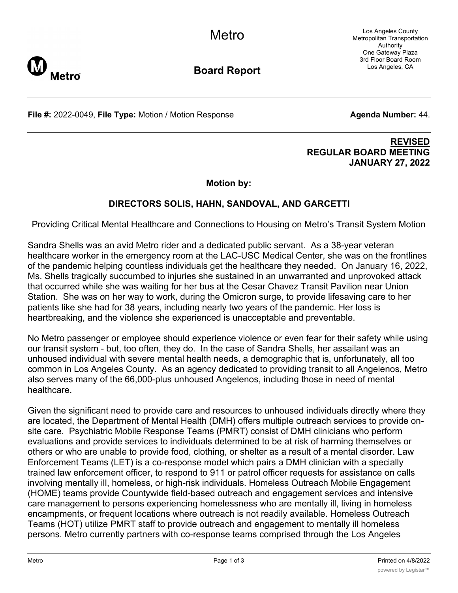Los Angeles County Metropolitan Transportation Authority One Gateway Plaza 3rd Floor Board Room Los Angeles, CA



**Board Report**

**File #:** 2022-0049, File Type: Motion / Motion Response **Agenta Number: 44.** 

### **REVISED REGULAR BOARD MEETING JANUARY 27, 2022**

**Motion by:**

# **DIRECTORS SOLIS, HAHN, SANDOVAL, AND GARCETTI**

Providing Critical Mental Healthcare and Connections to Housing on Metro's Transit System Motion

Sandra Shells was an avid Metro rider and a dedicated public servant. As a 38-year veteran healthcare worker in the emergency room at the LAC-USC Medical Center, she was on the frontlines of the pandemic helping countless individuals get the healthcare they needed. On January 16, 2022, Ms. Shells tragically succumbed to injuries she sustained in an unwarranted and unprovoked attack that occurred while she was waiting for her bus at the Cesar Chavez Transit Pavilion near Union Station. She was on her way to work, during the Omicron surge, to provide lifesaving care to her patients like she had for 38 years, including nearly two years of the pandemic. Her loss is heartbreaking, and the violence she experienced is unacceptable and preventable.

No Metro passenger or employee should experience violence or even fear for their safety while using our transit system - but, too often, they do. In the case of Sandra Shells, her assailant was an unhoused individual with severe mental health needs, a demographic that is, unfortunately, all too common in Los Angeles County. As an agency dedicated to providing transit to all Angelenos, Metro also serves many of the 66,000-plus unhoused Angelenos, including those in need of mental healthcare.

Given the significant need to provide care and resources to unhoused individuals directly where they are located, the Department of Mental Health (DMH) offers multiple outreach services to provide onsite care. Psychiatric Mobile Response Teams (PMRT) consist of DMH clinicians who perform evaluations and provide services to individuals determined to be at risk of harming themselves or others or who are unable to provide food, clothing, or shelter as a result of a mental disorder. Law Enforcement Teams (LET) is a co-response model which pairs a DMH clinician with a specially trained law enforcement officer, to respond to 911 or patrol officer requests for assistance on calls involving mentally ill, homeless, or high-risk individuals. Homeless Outreach Mobile Engagement (HOME) teams provide Countywide field-based outreach and engagement services and intensive care management to persons experiencing homelessness who are mentally ill, living in homeless encampments, or frequent locations where outreach is not readily available. Homeless Outreach Teams (HOT) utilize PMRT staff to provide outreach and engagement to mentally ill homeless persons. Metro currently partners with co-response teams comprised through the Los Angeles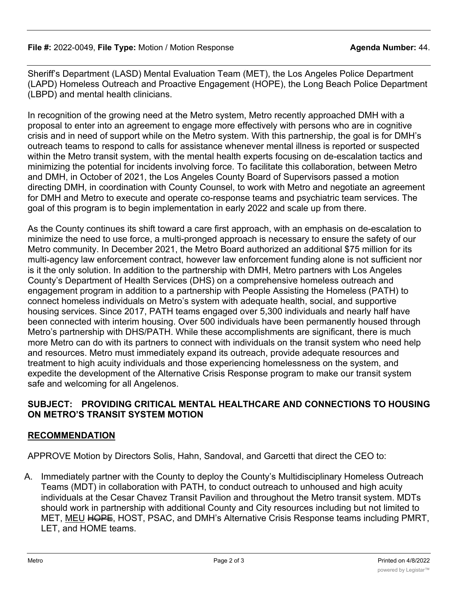Sheriff's Department (LASD) Mental Evaluation Team (MET), the Los Angeles Police Department (LAPD) Homeless Outreach and Proactive Engagement (HOPE), the Long Beach Police Department (LBPD) and mental health clinicians.

In recognition of the growing need at the Metro system, Metro recently approached DMH with a proposal to enter into an agreement to engage more effectively with persons who are in cognitive crisis and in need of support while on the Metro system. With this partnership, the goal is for DMH's outreach teams to respond to calls for assistance whenever mental illness is reported or suspected within the Metro transit system, with the mental health experts focusing on de-escalation tactics and minimizing the potential for incidents involving force. To facilitate this collaboration, between Metro and DMH, in October of 2021, the Los Angeles County Board of Supervisors passed a motion directing DMH, in coordination with County Counsel, to work with Metro and negotiate an agreement for DMH and Metro to execute and operate co-response teams and psychiatric team services. The goal of this program is to begin implementation in early 2022 and scale up from there.

As the County continues its shift toward a care first approach, with an emphasis on de-escalation to minimize the need to use force, a multi-pronged approach is necessary to ensure the safety of our Metro community. In December 2021, the Metro Board authorized an additional \$75 million for its multi-agency law enforcement contract, however law enforcement funding alone is not sufficient nor is it the only solution. In addition to the partnership with DMH, Metro partners with Los Angeles County's Department of Health Services (DHS) on a comprehensive homeless outreach and engagement program in addition to a partnership with People Assisting the Homeless (PATH) to connect homeless individuals on Metro's system with adequate health, social, and supportive housing services. Since 2017, PATH teams engaged over 5,300 individuals and nearly half have been connected with interim housing. Over 500 individuals have been permanently housed through Metro's partnership with DHS/PATH. While these accomplishments are significant, there is much more Metro can do with its partners to connect with individuals on the transit system who need help and resources. Metro must immediately expand its outreach, provide adequate resources and treatment to high acuity individuals and those experiencing homelessness on the system, and expedite the development of the Alternative Crisis Response program to make our transit system safe and welcoming for all Angelenos.

## **SUBJECT: PROVIDING CRITICAL MENTAL HEALTHCARE AND CONNECTIONS TO HOUSING ON METRO'S TRANSIT SYSTEM MOTION**

# **RECOMMENDATION**

APPROVE Motion by Directors Solis, Hahn, Sandoval, and Garcetti that direct the CEO to:

A. Immediately partner with the County to deploy the County's Multidisciplinary Homeless Outreach Teams (MDT) in collaboration with PATH, to conduct outreach to unhoused and high acuity individuals at the Cesar Chavez Transit Pavilion and throughout the Metro transit system. MDTs should work in partnership with additional County and City resources including but not limited to MET, MEU HOPE, HOST, PSAC, and DMH's Alternative Crisis Response teams including PMRT, LET, and HOME teams.